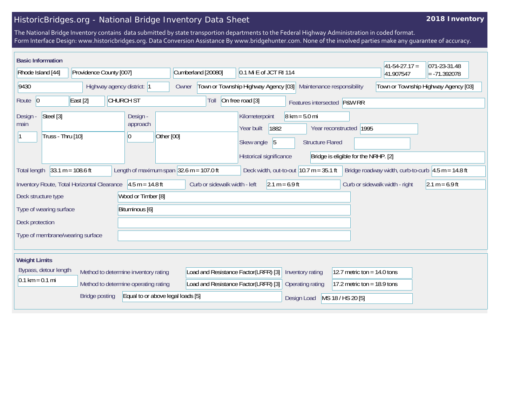## HistoricBridges.org - National Bridge Inventory Data Sheet

## **2018 Inventory**

The National Bridge Inventory contains data submitted by state transportion departments to the Federal Highway Administration in coded format. Form Interface Design: www.historicbridges.org. Data Conversion Assistance By www.bridgehunter.com. None of the involved parties make any guarantee of accuracy.

| <b>Basic Information</b>                                                                                                                                                                                        |                                                                              |                  |                                                                                             |                                                                             |                                                                                                                               |                               | $41 - 54 - 27.17 =$                  | 071-23-31.48   |
|-----------------------------------------------------------------------------------------------------------------------------------------------------------------------------------------------------------------|------------------------------------------------------------------------------|------------------|---------------------------------------------------------------------------------------------|-----------------------------------------------------------------------------|-------------------------------------------------------------------------------------------------------------------------------|-------------------------------|--------------------------------------|----------------|
| Rhode Island [44]                                                                                                                                                                                               | Providence County [007]                                                      |                  | Cumberland [20080]                                                                          | 0.1 Mi E of JCT RI 114                                                      |                                                                                                                               |                               | 41.907547                            | $= -71.392078$ |
| 9430                                                                                                                                                                                                            | Highway agency district: 1                                                   |                  |                                                                                             | Town or Township Highway Agency [03]<br>Maintenance responsibility<br>Owner |                                                                                                                               |                               | Town or Township Highway Agency [03] |                |
| Route 0                                                                                                                                                                                                         | East $[2]$                                                                   | <b>CHURCH ST</b> | Toll                                                                                        | On free road [3]                                                            | Features intersected P&W RR                                                                                                   |                               |                                      |                |
| Steel [3]<br>Design -<br>Design -<br>main<br>approach<br>Truss - Thru [10]<br>$\vert 0 \vert$                                                                                                                   |                                                                              | Other [00]       | Kilometerpoint<br>1882<br>Year built<br>$\sqrt{5}$<br>Skew angle<br>Historical significance |                                                                             | $8 \text{ km} = 5.0 \text{ mi}$<br>Year reconstructed 1995<br><b>Structure Flared</b><br>Bridge is eligible for the NRHP. [2] |                               |                                      |                |
| Length of maximum span $ 32.6 \text{ m} = 107.0 \text{ ft} $<br>$33.1 m = 108.6 ft$<br>Deck width, out-to-out $10.7$ m = 35.1 ft<br>Bridge roadway width, curb-to-curb $4.5 m = 14.8 ft$<br><b>Total length</b> |                                                                              |                  |                                                                                             |                                                                             |                                                                                                                               |                               |                                      |                |
| Inventory Route, Total Horizontal Clearance<br>$4.5 m = 14.8 ft$<br>Curb or sidewalk width - left<br>$2.1 m = 6.9 ft$<br>Curb or sidewalk width - right<br>$2.1 m = 6.9 ft$                                     |                                                                              |                  |                                                                                             |                                                                             |                                                                                                                               |                               |                                      |                |
| Wood or Timber [8]<br>Deck structure type                                                                                                                                                                       |                                                                              |                  |                                                                                             |                                                                             |                                                                                                                               |                               |                                      |                |
| Bituminous [6]<br>Type of wearing surface                                                                                                                                                                       |                                                                              |                  |                                                                                             |                                                                             |                                                                                                                               |                               |                                      |                |
| Deck protection                                                                                                                                                                                                 |                                                                              |                  |                                                                                             |                                                                             |                                                                                                                               |                               |                                      |                |
| Type of membrane/wearing surface                                                                                                                                                                                |                                                                              |                  |                                                                                             |                                                                             |                                                                                                                               |                               |                                      |                |
| <b>Weight Limits</b>                                                                                                                                                                                            |                                                                              |                  |                                                                                             |                                                                             |                                                                                                                               |                               |                                      |                |
|                                                                                                                                                                                                                 | Bypass, detour length<br>Method to determine inventory rating                |                  | Load and Resistance Factor(LRFR) [3]                                                        |                                                                             | Inventory rating                                                                                                              | 12.7 metric ton = $14.0$ tons |                                      |                |
| $0.1 \text{ km} = 0.1 \text{ mi}$                                                                                                                                                                               | Load and Resistance Factor(LRFR) [3]<br>Method to determine operating rating |                  |                                                                                             |                                                                             | Operating rating                                                                                                              | 17.2 metric ton = $18.9$ tons |                                      |                |
|                                                                                                                                                                                                                 | Equal to or above legal loads [5]<br><b>Bridge posting</b>                   |                  |                                                                                             |                                                                             | Design Load                                                                                                                   | MS 18 / HS 20 [5]             |                                      |                |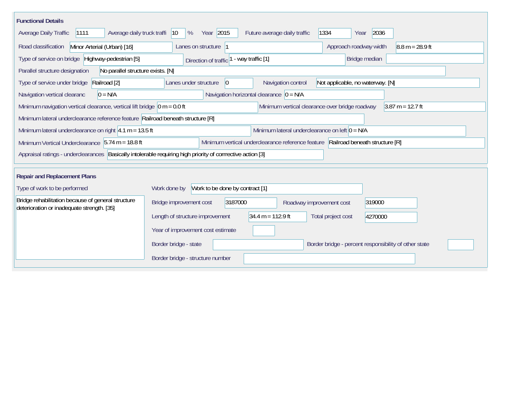| <b>Functional Details</b>                                                                                                            |                                                                                                               |  |  |  |  |  |  |
|--------------------------------------------------------------------------------------------------------------------------------------|---------------------------------------------------------------------------------------------------------------|--|--|--|--|--|--|
| Average daily truck traffi<br>Average Daily Traffic<br>1111                                                                          | Year 2015<br>1334<br>2036<br> 10<br>%<br>Future average daily traffic<br>Year                                 |  |  |  |  |  |  |
| Minor Arterial (Urban) [16]<br>Road classification<br>Lanes on structure  1<br>Approach roadway width<br>$8.8 m = 28.9 ft$           |                                                                                                               |  |  |  |  |  |  |
| Type of service on bridge Highway-pedestrian [5]<br>Bridge median<br>- way traffic [1]<br>Direction of traffic                       |                                                                                                               |  |  |  |  |  |  |
| Parallel structure designation<br>No parallel structure exists. [N]                                                                  |                                                                                                               |  |  |  |  |  |  |
| Type of service under bridge<br>Railroad [2]                                                                                         | Lanes under structure<br>Navigation control<br>Not applicable, no waterway. [N]<br>$\overline{0}$             |  |  |  |  |  |  |
| Navigation vertical clearanc<br>$0 = N/A$                                                                                            | Navigation horizontal clearance $\vert 0 = N/A \vert$                                                         |  |  |  |  |  |  |
| Minimum navigation vertical clearance, vertical lift bridge $ 0 m = 0.0$ ft                                                          | Minimum vertical clearance over bridge roadway<br>$3.87 m = 12.7 ft$                                          |  |  |  |  |  |  |
|                                                                                                                                      | Minimum lateral underclearance reference feature Railroad beneath structure [R]                               |  |  |  |  |  |  |
|                                                                                                                                      | Minimum lateral underclearance on left $0 = N/A$<br>Minimum lateral underclearance on right $4.1 m = 13.5 ft$ |  |  |  |  |  |  |
| Minimum vertical underclearance reference feature Railroad beneath structure [R]<br>Minimum Vertical Underclearance 5.74 m = 18.8 ft |                                                                                                               |  |  |  |  |  |  |
| Appraisal ratings - underclearances Basically intolerable requiring high priority of corrrective action [3]                          |                                                                                                               |  |  |  |  |  |  |
| <b>Repair and Replacement Plans</b>                                                                                                  |                                                                                                               |  |  |  |  |  |  |
| Type of work to be performed                                                                                                         | Work to be done by contract [1]<br>Work done by                                                               |  |  |  |  |  |  |
| Bridge rehabilitation because of general structure<br>deterioration or inadequate strength. [35]                                     | Bridge improvement cost<br>3187000<br>319000<br>Roadway improvement cost                                      |  |  |  |  |  |  |
|                                                                                                                                      | $34.4 m = 112.9 ft$<br>Length of structure improvement<br>Total project cost<br>4270000                       |  |  |  |  |  |  |
|                                                                                                                                      | Year of improvement cost estimate                                                                             |  |  |  |  |  |  |
|                                                                                                                                      | Border bridge - state<br>Border bridge - percent responsibility of other state                                |  |  |  |  |  |  |
|                                                                                                                                      | Border bridge - structure number                                                                              |  |  |  |  |  |  |